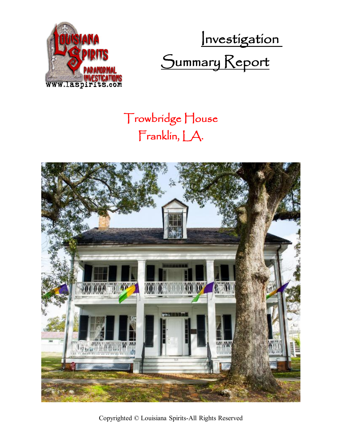

Investigation Summary Report

## Trowbridge House Franklin, LA.



Copyrighted © Louisiana Spirits-All Rights Reserved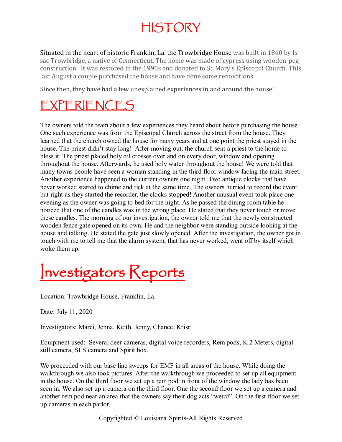### HISTORY

Situated in the heart of historic Franklin, La. the Trowbridge House was built in 1840 by Issac Trowbridge, a native of Connecticut. The home was made of cypress using wooden-peg construction. It was restored in the 1990s and donated to St. Mary's Episcopal Church. This last August a couple purchased the house and have done some renovations.

Since then, they have had a few unexplained experiences in and around the house!

### EXPERIENCES

The owners told the team about a few experiences they heard about before purchasing the house. One such experience was from the Episcopal Church across the street from the house. They learned that the church owned the house for many years and at one point the priest stayed in the house. The priest didn't stay long! After moving out, the church sent a priest to the home to bless it. The priest placed holy oil crosses over and on every door, window and opening throughout the house. Afterwards, he used holy water throughout the house! We were told that many towns people have seen a woman standing in the third floor window facing the main street. Another experience happened to the current owners one night. Two antique clocks that have never worked started to chime and tick at the same time. The owners hurried to record the event but right as they started the recorder, the clocks stopped! Another unusual event took place one evening as the owner was going to bed for the night. As he passed the dining room table he noticed that one of the candles was in the wrong place. He stated that they never touch or move these candles. The morning of our investigation, the owner told me that the newly constructed wooden fence gate opened on its own. He and the neighbor were standing outside looking at the house and talking. He stated the gate just slowly opened. After the investigation, the owner got in touch with me to tell me that the alarm system, that has never worked, went off by itself which woke them up.

# Investigators Keports

Location: Trowbridge House, Franklin, La.

Date: July 11, 2020

Investigators: Marci, Jenna, Keith, Jenny, Chance, Kristi

Equipment used: Several deer cameras, digital voice recorders, Rem pods, K 2 Meters, digital still camera, SLS camera and Spirit box.

We proceeded with our base line sweeps for EMF in all areas of the house. While doing the walkthrough we also took pictures. After the walkthrough we proceeded to set up all equipment in the house. On the third floor we set up a rem pod in front of the window the lady has been seen in. We also set up a camera on the third floor. One the second floor we set up a camera and another rem pod near an area that the owners say their dog acts "weird". On the first floor we set up cameras in each parlor.

Copyrighted © Louisiana Spirits-All Rights Reserved